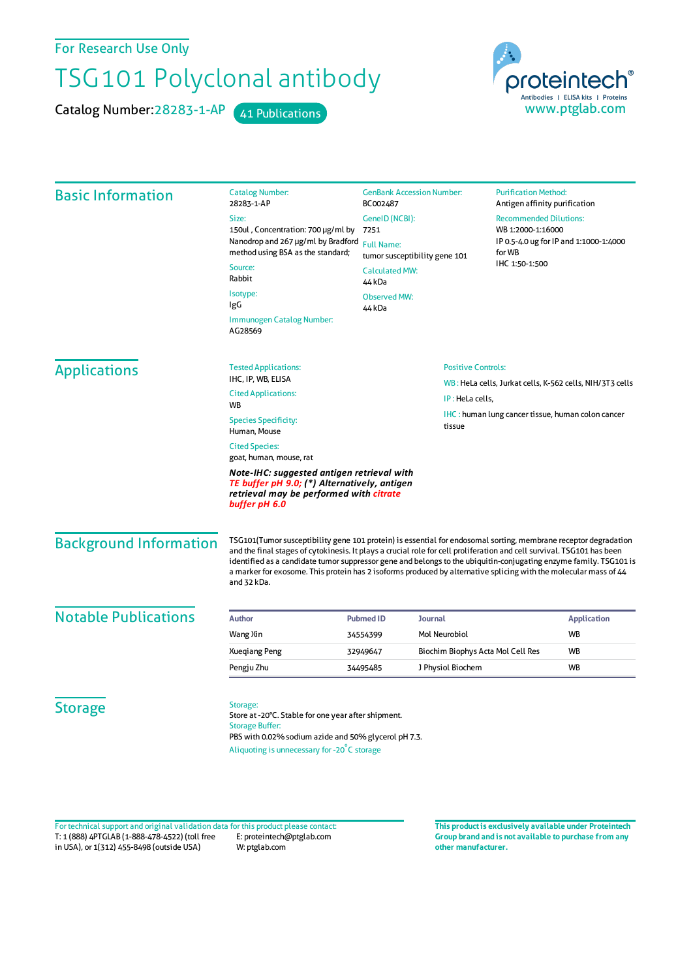For Research Use Only

## TSG101 Polyclonal antibody

Catalog Number: 28283-1-AP 41 Publications

proteintech Antibodies | ELISA kits | Proteins www.ptglab.com

| <b>Basic Information</b>      | <b>Catalog Number:</b><br>28283-1-AP                                                                                                                                                                                                                                                                                                                                                                                                                                                              | BC002487                                                                     | <b>GenBank Accession Number:</b>  |                                                                                                        | <b>Purification Method:</b><br>Antigen affinity purification |  |
|-------------------------------|---------------------------------------------------------------------------------------------------------------------------------------------------------------------------------------------------------------------------------------------------------------------------------------------------------------------------------------------------------------------------------------------------------------------------------------------------------------------------------------------------|------------------------------------------------------------------------------|-----------------------------------|--------------------------------------------------------------------------------------------------------|--------------------------------------------------------------|--|
|                               | Size:                                                                                                                                                                                                                                                                                                                                                                                                                                                                                             | GeneID (NCBI):<br>7251<br><b>Full Name:</b><br>tumor susceptibility gene 101 |                                   | <b>Recommended Dilutions:</b><br>WB 1:2000-1:16000<br>IP 0.5-4.0 ug for IP and 1:1000-1:4000<br>for WB |                                                              |  |
|                               | 150ul, Concentration: 700 µg/ml by<br>Nanodrop and 267 µg/ml by Bradford                                                                                                                                                                                                                                                                                                                                                                                                                          |                                                                              |                                   |                                                                                                        |                                                              |  |
|                               | method using BSA as the standard;                                                                                                                                                                                                                                                                                                                                                                                                                                                                 |                                                                              |                                   |                                                                                                        |                                                              |  |
|                               | Source:<br>Rabbit                                                                                                                                                                                                                                                                                                                                                                                                                                                                                 | <b>Calculated MW:</b><br>44 kDa                                              |                                   | IHC 1:50-1:500                                                                                         |                                                              |  |
|                               | Isotype:<br>IgG                                                                                                                                                                                                                                                                                                                                                                                                                                                                                   | <b>Observed MW:</b><br>44 <sub>kDa</sub>                                     |                                   |                                                                                                        |                                                              |  |
|                               | Immunogen Catalog Number:<br>AG28569                                                                                                                                                                                                                                                                                                                                                                                                                                                              |                                                                              |                                   |                                                                                                        |                                                              |  |
| <b>Applications</b>           | <b>Tested Applications:</b>                                                                                                                                                                                                                                                                                                                                                                                                                                                                       |                                                                              | <b>Positive Controls:</b>         | WB: HeLa cells, Jurkat cells, K-562 cells, NIH/3T3 cells                                               |                                                              |  |
|                               | IHC, IP, WB, ELISA<br><b>Cited Applications:</b>                                                                                                                                                                                                                                                                                                                                                                                                                                                  |                                                                              |                                   |                                                                                                        |                                                              |  |
|                               | <b>WB</b>                                                                                                                                                                                                                                                                                                                                                                                                                                                                                         |                                                                              | IP: HeLa cells,                   |                                                                                                        |                                                              |  |
|                               | <b>Species Specificity:</b><br>Human, Mouse                                                                                                                                                                                                                                                                                                                                                                                                                                                       |                                                                              | tissue                            | IHC: human lung cancer tissue, human colon cancer                                                      |                                                              |  |
|                               | <b>Cited Species:</b><br>goat, human, mouse, rat                                                                                                                                                                                                                                                                                                                                                                                                                                                  |                                                                              |                                   |                                                                                                        |                                                              |  |
|                               | Note-IHC: suggested antigen retrieval with<br>TE buffer pH 9.0; (*) Alternatively, antigen<br>retrieval may be performed with citrate<br>buffer pH 6.0                                                                                                                                                                                                                                                                                                                                            |                                                                              |                                   |                                                                                                        |                                                              |  |
| <b>Background Information</b> | TSG101(Tumor susceptibility gene 101 protein) is essential for endosomal sorting, membrane receptor degradation<br>and the final stages of cytokinesis. It plays a crucial role for cell proliferation and cell survival. TSG101 has been<br>identified as a candidate tumor suppressor gene and belongs to the ubiquitin-conjugating enzyme family. TSG101 is<br>a marker for exosome. This protein has 2 isoforms produced by alternative splicing with the molecular mass of 44<br>and 32 kDa. |                                                                              |                                   |                                                                                                        |                                                              |  |
| <b>Notable Publications</b>   | <b>Author</b>                                                                                                                                                                                                                                                                                                                                                                                                                                                                                     | <b>Pubmed ID</b>                                                             | Journal                           |                                                                                                        | <b>Application</b>                                           |  |
|                               | Wang Xin                                                                                                                                                                                                                                                                                                                                                                                                                                                                                          | 34554399                                                                     | Mol Neurobiol                     |                                                                                                        | <b>WB</b>                                                    |  |
|                               | <b>Xueqiang Peng</b>                                                                                                                                                                                                                                                                                                                                                                                                                                                                              | 32949647                                                                     | Biochim Biophys Acta Mol Cell Res |                                                                                                        | WB                                                           |  |
|                               | Pengju Zhu                                                                                                                                                                                                                                                                                                                                                                                                                                                                                        | 34495485                                                                     | J Physiol Biochem                 |                                                                                                        | <b>WB</b>                                                    |  |
| <b>Storage</b>                | Storage:<br>Store at -20°C. Stable for one year after shipment.<br><b>Storage Buffer:</b><br>PBS with 0.02% sodium azide and 50% glycerol pH 7.3.<br>Aliquoting is unnecessary for -20°C storage                                                                                                                                                                                                                                                                                                  |                                                                              |                                   |                                                                                                        |                                                              |  |

T: 1 (888) 4PTGLAB (1-888-478-4522) (toll free in USA), or 1(312) 455-8498 (outside USA) E: proteintech@ptglab.com W: ptglab.com Fortechnical support and original validation data forthis product please contact: **This productis exclusively available under Proteintech**

**Group brand and is not available to purchase from any other manufacturer.**